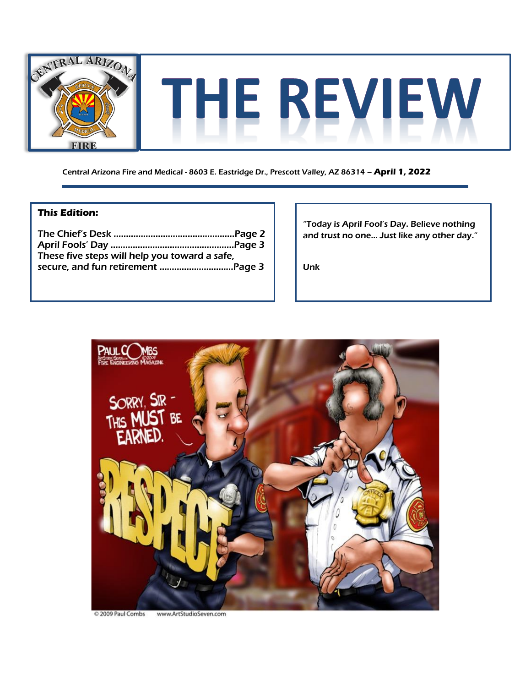

Central Arizona Fire and Medical - 8603 E. Eastridge Dr., Prescott Valley, AZ 86314 – **April 1, 2022**

#### **This Edition:**

| These five steps will help you toward a safe, |  |
|-----------------------------------------------|--|
|                                               |  |

"Today is April Fool's Day. Believe nothing and trust no one… Just like any other day."

Unk



2009 Paul Combs www.ArtStudioSeven.com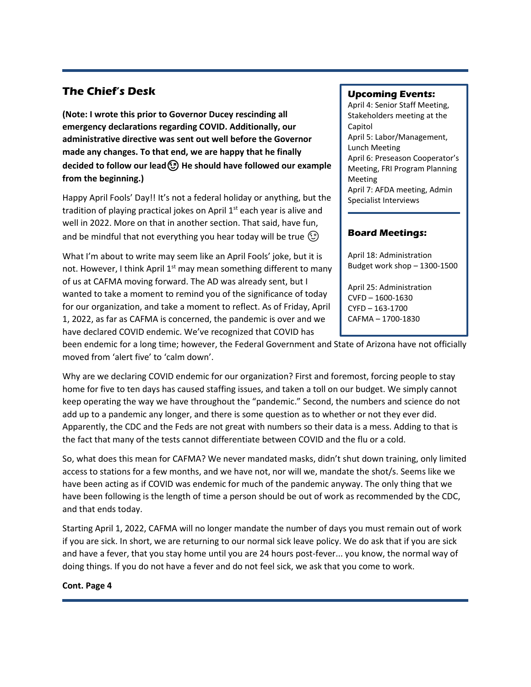### **The Chief's Desk**

**(Note: I wrote this prior to Governor Ducey rescinding all emergency declarations regarding COVID. Additionally, our administrative directive was sent out well before the Governor made any changes. To that end, we are happy that he finally decided to follow our leadHe should have followed our example from the beginning.)**

Happy April Fools' Day!! It's not a federal holiday or anything, but the tradition of playing practical jokes on April  $1<sup>st</sup>$  each year is alive and well in 2022. More on that in another section. That said, have fun, and be mindful that not everything you hear today will be true  $\textcircled{3}$ 

What I'm about to write may seem like an April Fools' joke, but it is not. However, I think April  $1<sup>st</sup>$  may mean something different to many of us at CAFMA moving forward. The AD was already sent, but I wanted to take a moment to remind you of the significance of today for our organization, and take a moment to reflect. As of Friday, April 1, 2022, as far as CAFMA is concerned, the pandemic is over and we have declared COVID endemic. We've recognized that COVID has

#### **Upcoming Events:**

April 4: Senior Staff Meeting, Stakeholders meeting at the Capitol April 5: Labor/Management, Lunch Meeting April 6: Preseason Cooperator's Meeting, FRI Program Planning Meeting April 7: AFDA meeting, Admin Specialist Interviews

#### **Board Meetings:**

April 18: Administration Budget work shop – 1300-1500

April 25: Administration CVFD – 1600-1630 CYFD – 163-1700 CAFMA – 1700-1830

been endemic for a long time; however, the Federal Government and State of Arizona have not officially moved from 'alert five' to 'calm down'.

Why are we declaring COVID endemic for our organization? First and foremost, forcing people to stay home for five to ten days has caused staffing issues, and taken a toll on our budget. We simply cannot keep operating the way we have throughout the "pandemic." Second, the numbers and science do not add up to a pandemic any longer, and there is some question as to whether or not they ever did. Apparently, the CDC and the Feds are not great with numbers so their data is a mess. Adding to that is the fact that many of the tests cannot differentiate between COVID and the flu or a cold.

So, what does this mean for CAFMA? We never mandated masks, didn't shut down training, only limited access to stations for a few months, and we have not, nor will we, mandate the shot/s. Seems like we have been acting as if COVID was endemic for much of the pandemic anyway. The only thing that we have been following is the length of time a person should be out of work as recommended by the CDC, and that ends today.

Starting April 1, 2022, CAFMA will no longer mandate the number of days you must remain out of work if you are sick. In short, we are returning to our normal sick leave policy. We do ask that if you are sick and have a fever, that you stay home until you are 24 hours post-fever... you know, the normal way of doing things. If you do not have a fever and do not feel sick, we ask that you come to work.

#### **Cont. Page 4**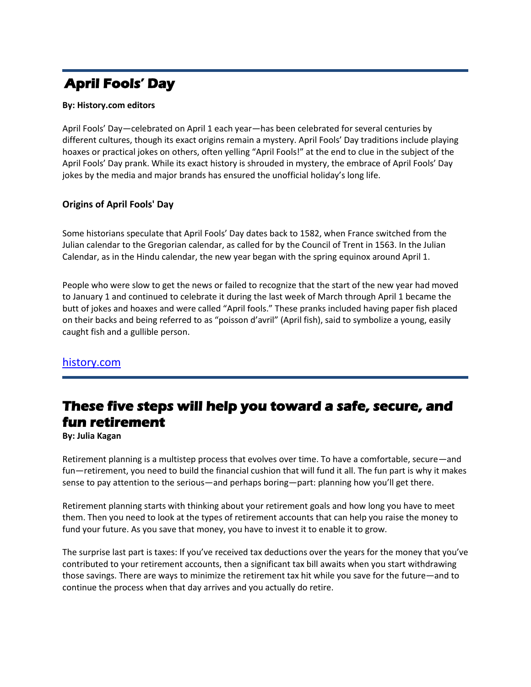# **April Fools' Day**

#### **By: History.com editors**

April Fools' Day—celebrated on April 1 each year—has been celebrated for several centuries by different cultures, though its exact origins remain a mystery. April Fools' Day traditions include playing hoaxes or practical jokes on others, often yelling "April Fools!" at the end to clue in the subject of the April Fools' Day prank. While its exact history is shrouded in mystery, the embrace of April Fools' Day jokes by the media and major brands has ensured the unofficial holiday's long life.

#### **Origins of April Fools' Day**

Some historians speculate that April Fools' Day dates back to 1582, when France switched from the Julian calendar to the Gregorian calendar, as called for by the Council of Trent in 1563. In the Julian Calendar, as in the Hindu calendar, the new year began with the spring equinox around April 1.

People who were slow to get the news or failed to recognize that the start of the new year had moved to January 1 and continued to celebrate it during the last week of March through April 1 became the butt of jokes and hoaxes and were called "April fools." These pranks included having paper fish placed on their backs and being referred to as "poisson d'avril" (April fish), said to symbolize a young, easily caught fish and a gullible person.

#### [history.com](https://www.history.com/topics/holidays/april-fools-day)

# **These five steps will help you toward a safe, secure, and fun retirement**

**By: Julia Kagan**

Retirement planning is a multistep process that evolves over time. To have a comfortable, secure—and fun—retirement, you need to build the financial cushion that will fund it all. The fun part is why it makes sense to pay attention to the serious—and perhaps boring—part: planning how you'll get there.

Retirement planning starts with thinking about your retirement goals and how long you have to meet them. Then you need to look at the types of retirement accounts that can help you raise the money to fund your future. As you save that money, you have to invest it to enable it to grow.

The surprise last part is taxes: If you've received tax deductions over the years for the money that you've contributed to your retirement accounts, then a significant tax bill awaits when you start withdrawing those savings. There are ways to minimize the retirement tax hit while you save for the future—and to continue the process when that day arrives and you actually do retire.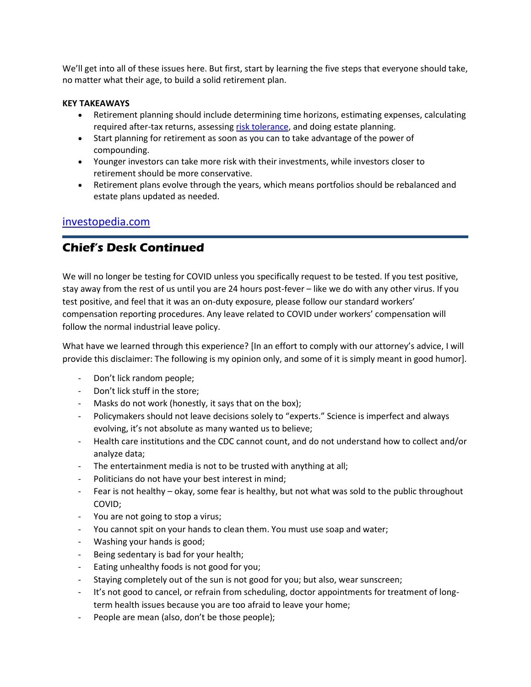We'll get into all of these issues here. But first, start by learning the five steps that everyone should take, no matter what their age, to build a solid retirement plan.

#### **KEY TAKEAWAYS**

- Retirement planning should include determining time horizons, estimating expenses, calculating required after-tax returns, assessing [risk tolerance,](https://www.investopedia.com/terms/r/risktolerance.asp) and doing estate planning.
- Start planning for retirement as soon as you can to take advantage of the power of compounding.
- Younger investors can take more risk with their investments, while investors closer to retirement should be more conservative.
- Retirement plans evolve through the years, which means portfolios should be rebalanced and estate plans updated as needed.

#### [investopedia.com](https://www.investopedia.com/articles/retirement/11/5-steps-to-retirement-plan.asp)

## **Chief's Desk Continued**

We will no longer be testing for COVID unless you specifically request to be tested. If you test positive, stay away from the rest of us until you are 24 hours post-fever – like we do with any other virus. If you test positive, and feel that it was an on-duty exposure, please follow our standard workers' compensation reporting procedures. Any leave related to COVID under workers' compensation will follow the normal industrial leave policy.

What have we learned through this experience? [In an effort to comply with our attorney's advice, I will provide this disclaimer: The following is my opinion only, and some of it is simply meant in good humor].

- Don't lick random people;
- Don't lick stuff in the store;
- Masks do not work (honestly, it says that on the box);
- Policymakers should not leave decisions solely to "experts." Science is imperfect and always evolving, it's not absolute as many wanted us to believe;
- Health care institutions and the CDC cannot count, and do not understand how to collect and/or analyze data;
- The entertainment media is not to be trusted with anything at all;
- Politicians do not have your best interest in mind;
- Fear is not healthy okay, some fear is healthy, but not what was sold to the public throughout COVID;
- You are not going to stop a virus;
- You cannot spit on your hands to clean them. You must use soap and water;
- Washing your hands is good;
- Being sedentary is bad for your health;
- Eating unhealthy foods is not good for you;
- Staying completely out of the sun is not good for you; but also, wear sunscreen;
- It's not good to cancel, or refrain from scheduling, doctor appointments for treatment of longterm health issues because you are too afraid to leave your home;
- People are mean (also, don't be those people);